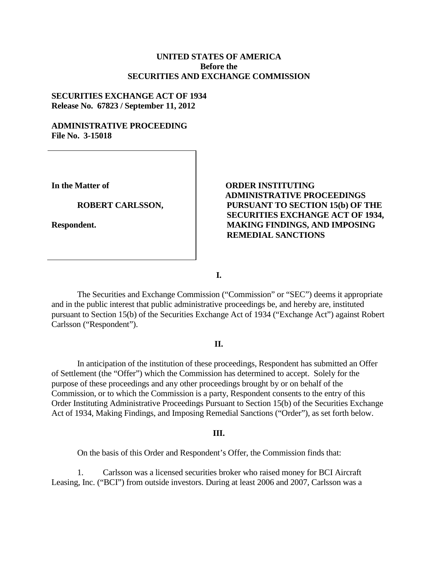## **UNITED STATES OF AMERICA Before the SECURITIES AND EXCHANGE COMMISSION**

## **SECURITIES EXCHANGE ACT OF 1934 Release No. 67823 / September 11, 2012**

## **ADMINISTRATIVE PROCEEDING File No. 3-15018**

**In the Matter of**

**ROBERT CARLSSON,** 

**Respondent.**

# **ORDER INSTITUTING ADMINISTRATIVE PROCEEDINGS PURSUANT TO SECTION 15(b) OF THE SECURITIES EXCHANGE ACT OF 1934, MAKING FINDINGS, AND IMPOSING REMEDIAL SANCTIONS**

**I.**

The Securities and Exchange Commission ("Commission" or "SEC") deems it appropriate and in the public interest that public administrative proceedings be, and hereby are, instituted pursuant to Section 15(b) of the Securities Exchange Act of 1934 ("Exchange Act") against Robert Carlsson ("Respondent").

## **II.**

In anticipation of the institution of these proceedings, Respondent has submitted an Offer of Settlement (the "Offer") which the Commission has determined to accept. Solely for the purpose of these proceedings and any other proceedings brought by or on behalf of the Commission, or to which the Commission is a party, Respondent consents to the entry of this Order Instituting Administrative Proceedings Pursuant to Section 15(b) of the Securities Exchange Act of 1934, Making Findings, and Imposing Remedial Sanctions ("Order"), as set forth below.

#### **III.**

On the basis of this Order and Respondent's Offer, the Commission finds that:

1. Carlsson was a licensed securities broker who raised money for BCI Aircraft Leasing, Inc. ("BCI") from outside investors. During at least 2006 and 2007, Carlsson was a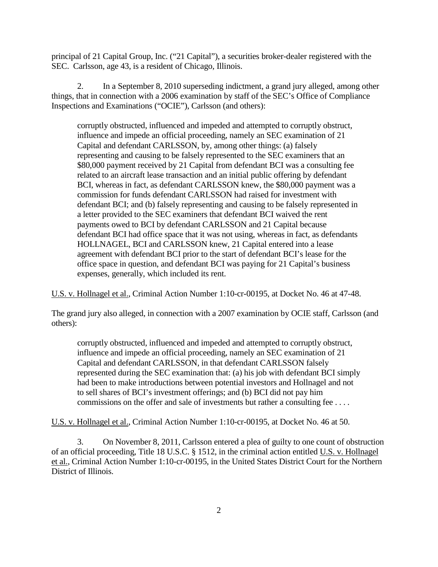principal of 21 Capital Group, Inc. ("21 Capital"), a securities broker-dealer registered with the SEC. Carlsson, age 43, is a resident of Chicago, Illinois.

2. In a September 8, 2010 superseding indictment, a grand jury alleged, among other things, that in connection with a 2006 examination by staff of the SEC's Office of Compliance Inspections and Examinations ("OCIE"), Carlsson (and others):

corruptly obstructed, influenced and impeded and attempted to corruptly obstruct, influence and impede an official proceeding, namely an SEC examination of 21 Capital and defendant CARLSSON, by, among other things: (a) falsely representing and causing to be falsely represented to the SEC examiners that an \$80,000 payment received by 21 Capital from defendant BCI was a consulting fee related to an aircraft lease transaction and an initial public offering by defendant BCI, whereas in fact, as defendant CARLSSON knew, the \$80,000 payment was a commission for funds defendant CARLSSON had raised for investment with defendant BCI; and (b) falsely representing and causing to be falsely represented in a letter provided to the SEC examiners that defendant BCI waived the rent payments owed to BCI by defendant CARLSSON and 21 Capital because defendant BCI had office space that it was not using, whereas in fact, as defendants HOLLNAGEL, BCI and CARLSSON knew, 21 Capital entered into a lease agreement with defendant BCI prior to the start of defendant BCI's lease for the office space in question, and defendant BCI was paying for 21 Capital's business expenses, generally, which included its rent.

U.S. v. Hollnagel et al., Criminal Action Number 1:10-cr-00195, at Docket No. 46 at 47-48.

The grand jury also alleged, in connection with a 2007 examination by OCIE staff, Carlsson (and others):

corruptly obstructed, influenced and impeded and attempted to corruptly obstruct, influence and impede an official proceeding, namely an SEC examination of 21 Capital and defendant CARLSSON, in that defendant CARLSSON falsely represented during the SEC examination that: (a) his job with defendant BCI simply had been to make introductions between potential investors and Hollnagel and not to sell shares of BCI's investment offerings; and (b) BCI did not pay him commissions on the offer and sale of investments but rather a consulting fee . . . .

U.S. v. Hollnagel et al., Criminal Action Number 1:10-cr-00195, at Docket No. 46 at 50.

3. On November 8, 2011, Carlsson entered a plea of guilty to one count of obstruction of an official proceeding, Title 18 U.S.C. § 1512, in the criminal action entitled U.S. v. Hollnagel et al., Criminal Action Number 1:10-cr-00195, in the United States District Court for the Northern District of Illinois.